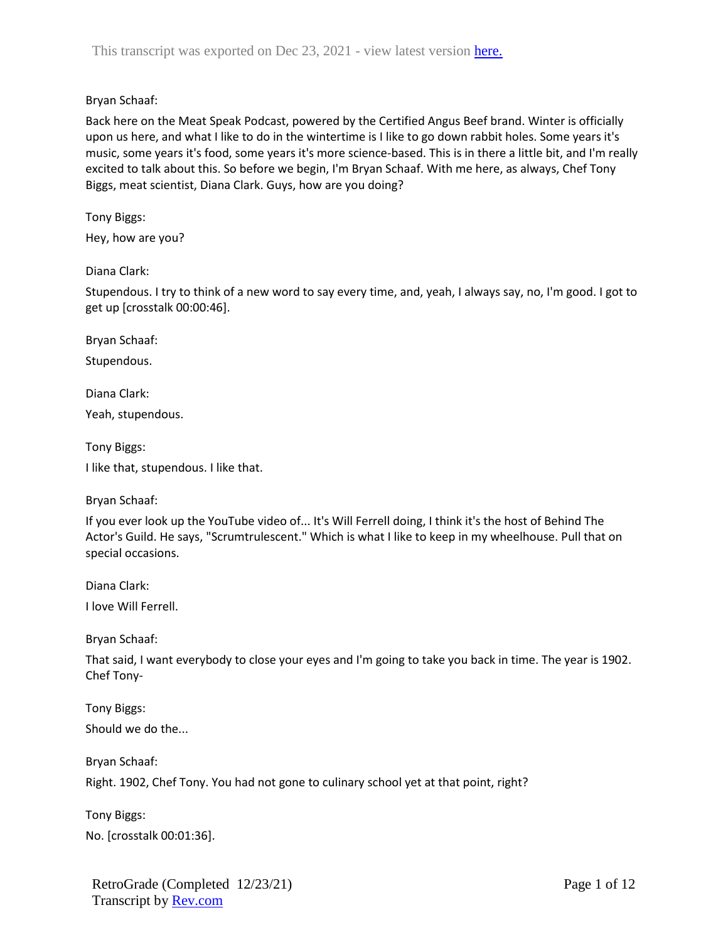Back here on the Meat Speak Podcast, powered by the Certified Angus Beef brand. Winter is officially upon us here, and what I like to do in the wintertime is I like to go down rabbit holes. Some years it's music, some years it's food, some years it's more science-based. This is in there a little bit, and I'm really excited to talk about this. So before we begin, I'm Bryan Schaaf. With me here, as always, Chef Tony Biggs, meat scientist, Diana Clark. Guys, how are you doing?

### Tony Biggs:

Hey, how are you?

# Diana Clark:

Stupendous. I try to think of a new word to say every time, and, yeah, I always say, no, I'm good. I got to get up [crosstalk 00:00:46].

Bryan Schaaf:

Stupendous.

Diana Clark:

Yeah, stupendous.

Tony Biggs: I like that, stupendous. I like that.

Bryan Schaaf:

If you ever look up the YouTube video of... It's Will Ferrell doing, I think it's the host of Behind The Actor's Guild. He says, "Scrumtrulescent." Which is what I like to keep in my wheelhouse. Pull that on special occasions.

Diana Clark: I love Will Ferrell.

Bryan Schaaf:

That said, I want everybody to close your eyes and I'm going to take you back in time. The year is 1902. Chef Tony-

Tony Biggs: Should we do the...

Bryan Schaaf:

Right. 1902, Chef Tony. You had not gone to culinary school yet at that point, right?

Tony Biggs: No. [crosstalk 00:01:36].

RetroGrade (Completed 12/23/21) Transcript by **Rev.com**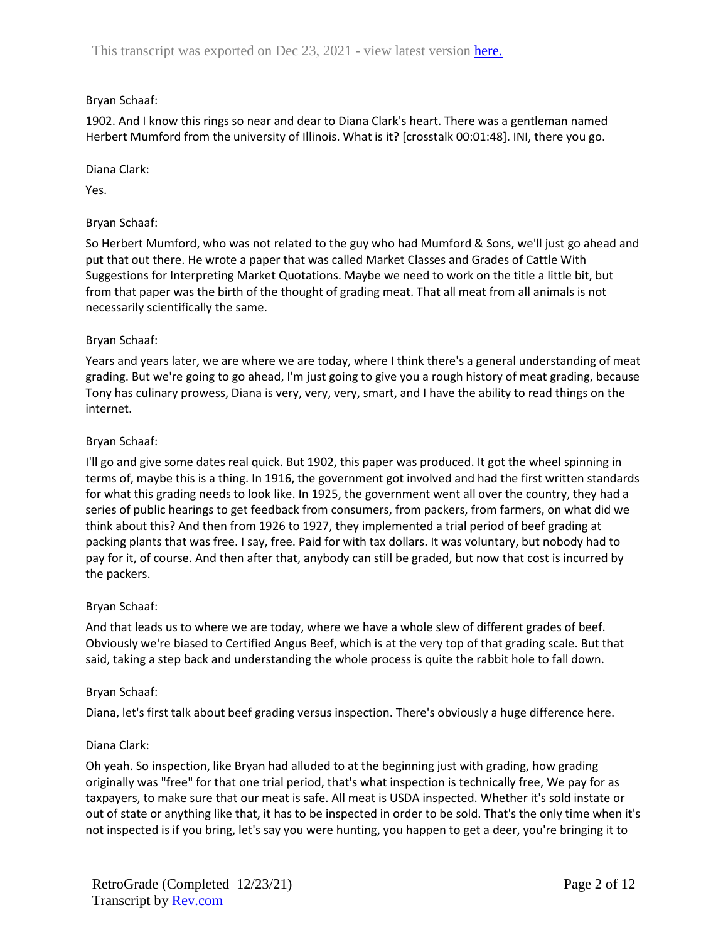1902. And I know this rings so near and dear to Diana Clark's heart. There was a gentleman named Herbert Mumford from the university of Illinois. What is it? [crosstalk 00:01:48]. INI, there you go.

Diana Clark:

Yes.

# Bryan Schaaf:

So Herbert Mumford, who was not related to the guy who had Mumford & Sons, we'll just go ahead and put that out there. He wrote a paper that was called Market Classes and Grades of Cattle With Suggestions for Interpreting Market Quotations. Maybe we need to work on the title a little bit, but from that paper was the birth of the thought of grading meat. That all meat from all animals is not necessarily scientifically the same.

### Bryan Schaaf:

Years and years later, we are where we are today, where I think there's a general understanding of meat grading. But we're going to go ahead, I'm just going to give you a rough history of meat grading, because Tony has culinary prowess, Diana is very, very, very, smart, and I have the ability to read things on the internet.

### Bryan Schaaf:

I'll go and give some dates real quick. But 1902, this paper was produced. It got the wheel spinning in terms of, maybe this is a thing. In 1916, the government got involved and had the first written standards for what this grading needs to look like. In 1925, the government went all over the country, they had a series of public hearings to get feedback from consumers, from packers, from farmers, on what did we think about this? And then from 1926 to 1927, they implemented a trial period of beef grading at packing plants that was free. I say, free. Paid for with tax dollars. It was voluntary, but nobody had to pay for it, of course. And then after that, anybody can still be graded, but now that cost is incurred by the packers.

### Bryan Schaaf:

And that leads us to where we are today, where we have a whole slew of different grades of beef. Obviously we're biased to Certified Angus Beef, which is at the very top of that grading scale. But that said, taking a step back and understanding the whole process is quite the rabbit hole to fall down.

### Bryan Schaaf:

Diana, let's first talk about beef grading versus inspection. There's obviously a huge difference here.

### Diana Clark:

Oh yeah. So inspection, like Bryan had alluded to at the beginning just with grading, how grading originally was "free" for that one trial period, that's what inspection is technically free, We pay for as taxpayers, to make sure that our meat is safe. All meat is USDA inspected. Whether it's sold instate or out of state or anything like that, it has to be inspected in order to be sold. That's the only time when it's not inspected is if you bring, let's say you were hunting, you happen to get a deer, you're bringing it to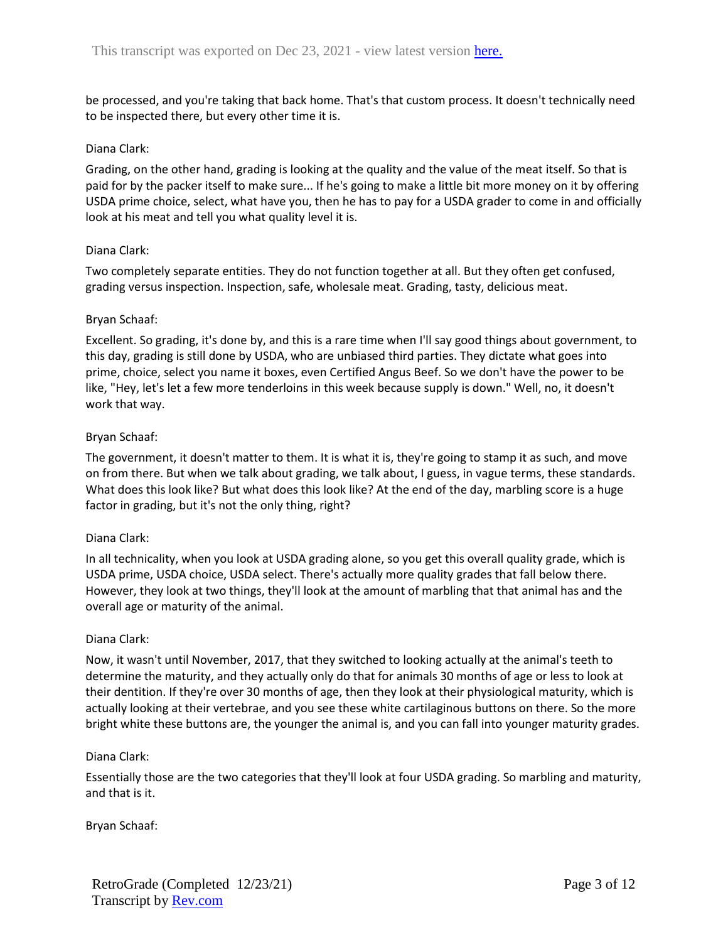be processed, and you're taking that back home. That's that custom process. It doesn't technically need to be inspected there, but every other time it is.

### Diana Clark:

Grading, on the other hand, grading is looking at the quality and the value of the meat itself. So that is paid for by the packer itself to make sure... If he's going to make a little bit more money on it by offering USDA prime choice, select, what have you, then he has to pay for a USDA grader to come in and officially look at his meat and tell you what quality level it is.

#### Diana Clark:

Two completely separate entities. They do not function together at all. But they often get confused, grading versus inspection. Inspection, safe, wholesale meat. Grading, tasty, delicious meat.

#### Bryan Schaaf:

Excellent. So grading, it's done by, and this is a rare time when I'll say good things about government, to this day, grading is still done by USDA, who are unbiased third parties. They dictate what goes into prime, choice, select you name it boxes, even Certified Angus Beef. So we don't have the power to be like, "Hey, let's let a few more tenderloins in this week because supply is down." Well, no, it doesn't work that way.

#### Bryan Schaaf:

The government, it doesn't matter to them. It is what it is, they're going to stamp it as such, and move on from there. But when we talk about grading, we talk about, I guess, in vague terms, these standards. What does this look like? But what does this look like? At the end of the day, marbling score is a huge factor in grading, but it's not the only thing, right?

### Diana Clark:

In all technicality, when you look at USDA grading alone, so you get this overall quality grade, which is USDA prime, USDA choice, USDA select. There's actually more quality grades that fall below there. However, they look at two things, they'll look at the amount of marbling that that animal has and the overall age or maturity of the animal.

#### Diana Clark:

Now, it wasn't until November, 2017, that they switched to looking actually at the animal's teeth to determine the maturity, and they actually only do that for animals 30 months of age or less to look at their dentition. If they're over 30 months of age, then they look at their physiological maturity, which is actually looking at their vertebrae, and you see these white cartilaginous buttons on there. So the more bright white these buttons are, the younger the animal is, and you can fall into younger maturity grades.

#### Diana Clark:

Essentially those are the two categories that they'll look at four USDA grading. So marbling and maturity, and that is it.

### Bryan Schaaf: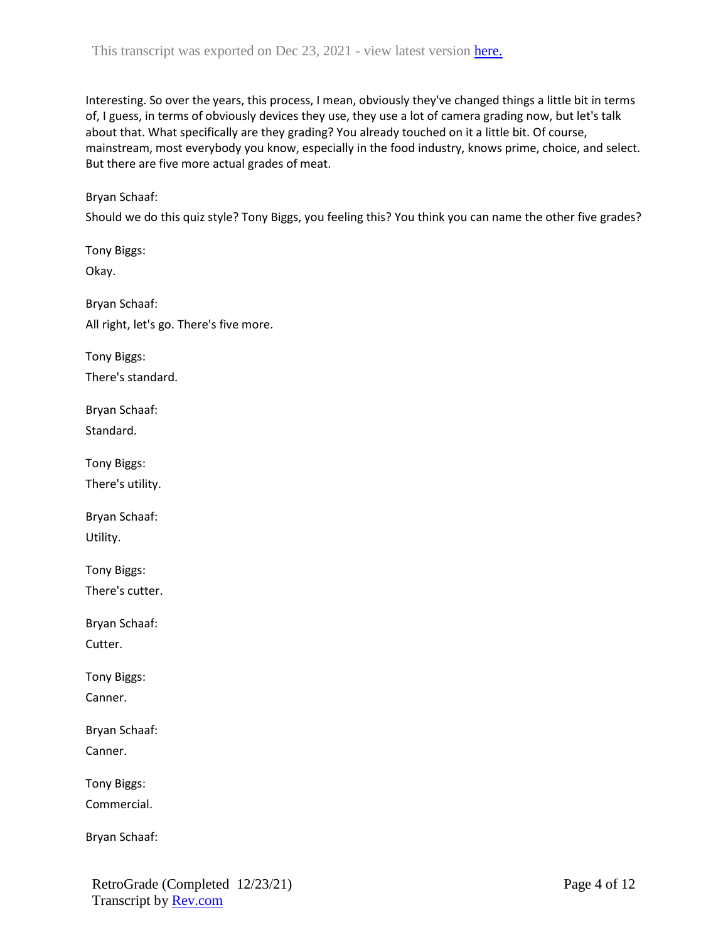Interesting. So over the years, this process, I mean, obviously they've changed things a little bit in terms of, I guess, in terms of obviously devices they use, they use a lot of camera grading now, but let's talk about that. What specifically are they grading? You already touched on it a little bit. Of course, mainstream, most everybody you know, especially in the food industry, knows prime, choice, and select. But there are five more actual grades of meat.

### Bryan Schaaf:

Should we do this quiz style? Tony Biggs, you feeling this? You think you can name the other five grades?

Tony Biggs: Okay. Bryan Schaaf: All right, let's go. There's five more. Tony Biggs: There's standard. Bryan Schaaf: Standard. Tony Biggs: There's utility. Bryan Schaaf: Utility. Tony Biggs: There's cutter. Bryan Schaaf: Cutter. Tony Biggs: Canner. Bryan Schaaf: Canner. Tony Biggs: Commercial. Bryan Schaaf: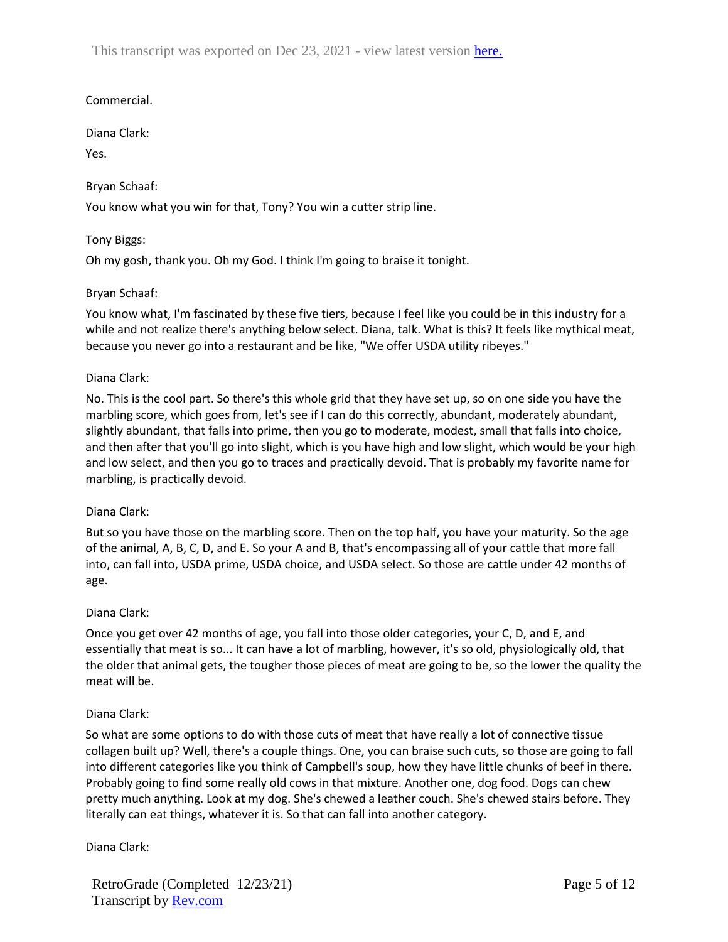This transcript was exported on Dec 23, 2021 - view latest version [here.](https://www.rev.com/transcript-editor/Edit?token=ItmpKE0UK0ULhOYjLPJOCp66sjJ7cGqkqM-E93vhdxsujlgYupTbAEhQFGaoi_3qAHOoFCWsRCAy0sCG6BEptlzv-UA&loadFrom=DocumentHeaderDeepLink)

# Commercial.

Diana Clark:

Yes.

# Bryan Schaaf:

You know what you win for that, Tony? You win a cutter strip line.

# Tony Biggs:

Oh my gosh, thank you. Oh my God. I think I'm going to braise it tonight.

# Bryan Schaaf:

You know what, I'm fascinated by these five tiers, because I feel like you could be in this industry for a while and not realize there's anything below select. Diana, talk. What is this? It feels like mythical meat, because you never go into a restaurant and be like, "We offer USDA utility ribeyes."

### Diana Clark:

No. This is the cool part. So there's this whole grid that they have set up, so on one side you have the marbling score, which goes from, let's see if I can do this correctly, abundant, moderately abundant, slightly abundant, that falls into prime, then you go to moderate, modest, small that falls into choice, and then after that you'll go into slight, which is you have high and low slight, which would be your high and low select, and then you go to traces and practically devoid. That is probably my favorite name for marbling, is practically devoid.

### Diana Clark:

But so you have those on the marbling score. Then on the top half, you have your maturity. So the age of the animal, A, B, C, D, and E. So your A and B, that's encompassing all of your cattle that more fall into, can fall into, USDA prime, USDA choice, and USDA select. So those are cattle under 42 months of age.

### Diana Clark:

Once you get over 42 months of age, you fall into those older categories, your C, D, and E, and essentially that meat is so... It can have a lot of marbling, however, it's so old, physiologically old, that the older that animal gets, the tougher those pieces of meat are going to be, so the lower the quality the meat will be.

### Diana Clark:

So what are some options to do with those cuts of meat that have really a lot of connective tissue collagen built up? Well, there's a couple things. One, you can braise such cuts, so those are going to fall into different categories like you think of Campbell's soup, how they have little chunks of beef in there. Probably going to find some really old cows in that mixture. Another one, dog food. Dogs can chew pretty much anything. Look at my dog. She's chewed a leather couch. She's chewed stairs before. They literally can eat things, whatever it is. So that can fall into another category.

### Diana Clark:

RetroGrade (Completed 12/23/21) Transcript by **Rev.com**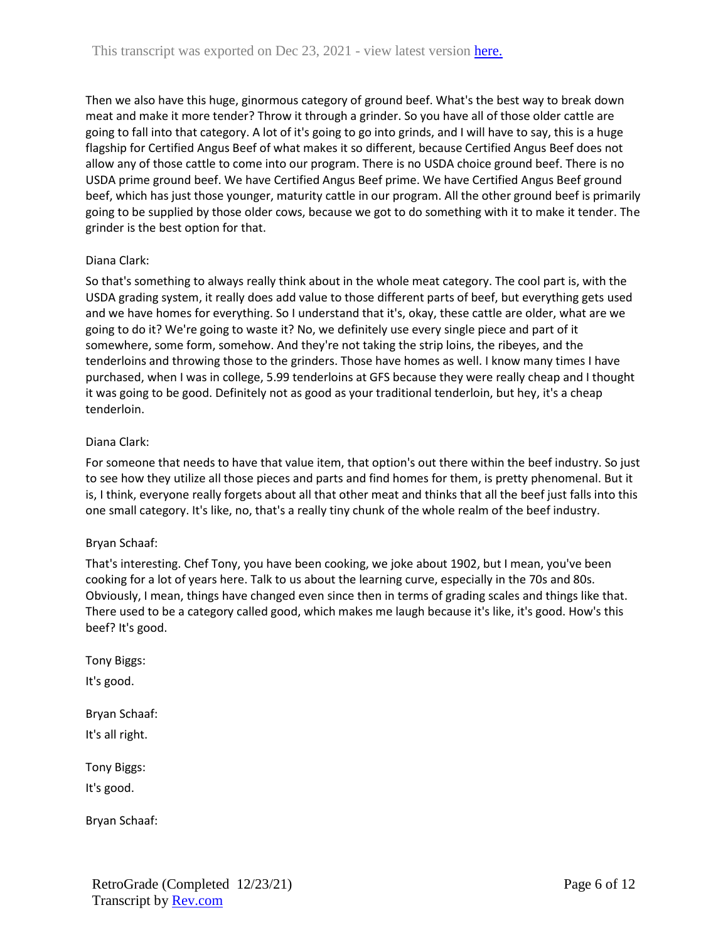Then we also have this huge, ginormous category of ground beef. What's the best way to break down meat and make it more tender? Throw it through a grinder. So you have all of those older cattle are going to fall into that category. A lot of it's going to go into grinds, and I will have to say, this is a huge flagship for Certified Angus Beef of what makes it so different, because Certified Angus Beef does not allow any of those cattle to come into our program. There is no USDA choice ground beef. There is no USDA prime ground beef. We have Certified Angus Beef prime. We have Certified Angus Beef ground beef, which has just those younger, maturity cattle in our program. All the other ground beef is primarily going to be supplied by those older cows, because we got to do something with it to make it tender. The grinder is the best option for that.

# Diana Clark:

So that's something to always really think about in the whole meat category. The cool part is, with the USDA grading system, it really does add value to those different parts of beef, but everything gets used and we have homes for everything. So I understand that it's, okay, these cattle are older, what are we going to do it? We're going to waste it? No, we definitely use every single piece and part of it somewhere, some form, somehow. And they're not taking the strip loins, the ribeyes, and the tenderloins and throwing those to the grinders. Those have homes as well. I know many times I have purchased, when I was in college, 5.99 tenderloins at GFS because they were really cheap and I thought it was going to be good. Definitely not as good as your traditional tenderloin, but hey, it's a cheap tenderloin.

# Diana Clark:

For someone that needs to have that value item, that option's out there within the beef industry. So just to see how they utilize all those pieces and parts and find homes for them, is pretty phenomenal. But it is, I think, everyone really forgets about all that other meat and thinks that all the beef just falls into this one small category. It's like, no, that's a really tiny chunk of the whole realm of the beef industry.

### Bryan Schaaf:

That's interesting. Chef Tony, you have been cooking, we joke about 1902, but I mean, you've been cooking for a lot of years here. Talk to us about the learning curve, especially in the 70s and 80s. Obviously, I mean, things have changed even since then in terms of grading scales and things like that. There used to be a category called good, which makes me laugh because it's like, it's good. How's this beef? It's good.

Tony Biggs:

It's good.

Bryan Schaaf: It's all right.

Tony Biggs:

It's good.

Bryan Schaaf: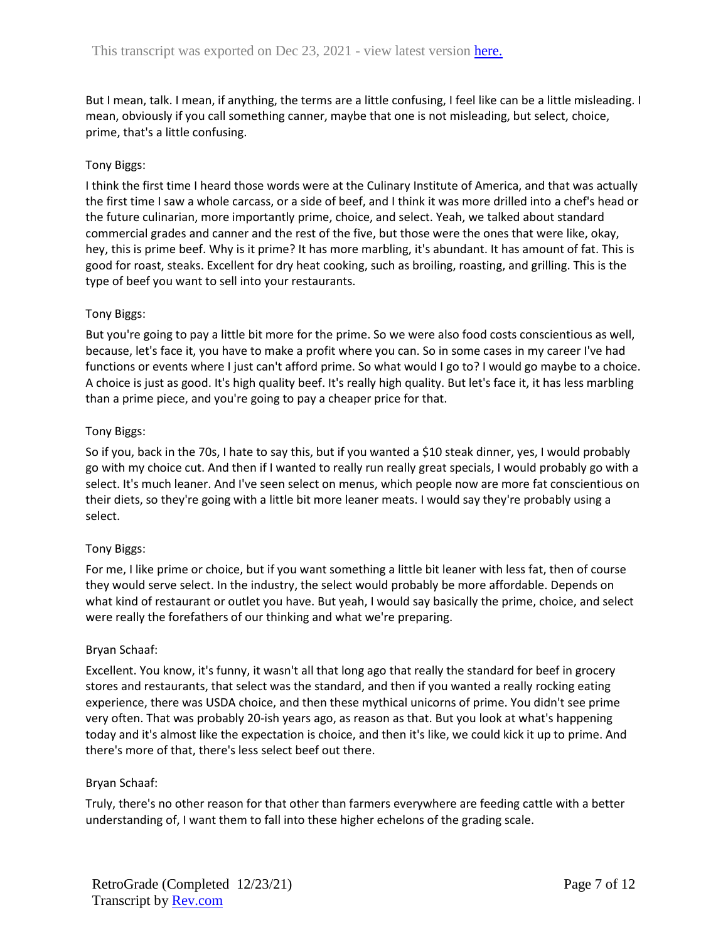But I mean, talk. I mean, if anything, the terms are a little confusing, I feel like can be a little misleading. I mean, obviously if you call something canner, maybe that one is not misleading, but select, choice, prime, that's a little confusing.

# Tony Biggs:

I think the first time I heard those words were at the Culinary Institute of America, and that was actually the first time I saw a whole carcass, or a side of beef, and I think it was more drilled into a chef's head or the future culinarian, more importantly prime, choice, and select. Yeah, we talked about standard commercial grades and canner and the rest of the five, but those were the ones that were like, okay, hey, this is prime beef. Why is it prime? It has more marbling, it's abundant. It has amount of fat. This is good for roast, steaks. Excellent for dry heat cooking, such as broiling, roasting, and grilling. This is the type of beef you want to sell into your restaurants.

# Tony Biggs:

But you're going to pay a little bit more for the prime. So we were also food costs conscientious as well, because, let's face it, you have to make a profit where you can. So in some cases in my career I've had functions or events where I just can't afford prime. So what would I go to? I would go maybe to a choice. A choice is just as good. It's high quality beef. It's really high quality. But let's face it, it has less marbling than a prime piece, and you're going to pay a cheaper price for that.

### Tony Biggs:

So if you, back in the 70s, I hate to say this, but if you wanted a \$10 steak dinner, yes, I would probably go with my choice cut. And then if I wanted to really run really great specials, I would probably go with a select. It's much leaner. And I've seen select on menus, which people now are more fat conscientious on their diets, so they're going with a little bit more leaner meats. I would say they're probably using a select.

### Tony Biggs:

For me, I like prime or choice, but if you want something a little bit leaner with less fat, then of course they would serve select. In the industry, the select would probably be more affordable. Depends on what kind of restaurant or outlet you have. But yeah, I would say basically the prime, choice, and select were really the forefathers of our thinking and what we're preparing.

### Bryan Schaaf:

Excellent. You know, it's funny, it wasn't all that long ago that really the standard for beef in grocery stores and restaurants, that select was the standard, and then if you wanted a really rocking eating experience, there was USDA choice, and then these mythical unicorns of prime. You didn't see prime very often. That was probably 20-ish years ago, as reason as that. But you look at what's happening today and it's almost like the expectation is choice, and then it's like, we could kick it up to prime. And there's more of that, there's less select beef out there.

### Bryan Schaaf:

Truly, there's no other reason for that other than farmers everywhere are feeding cattle with a better understanding of, I want them to fall into these higher echelons of the grading scale.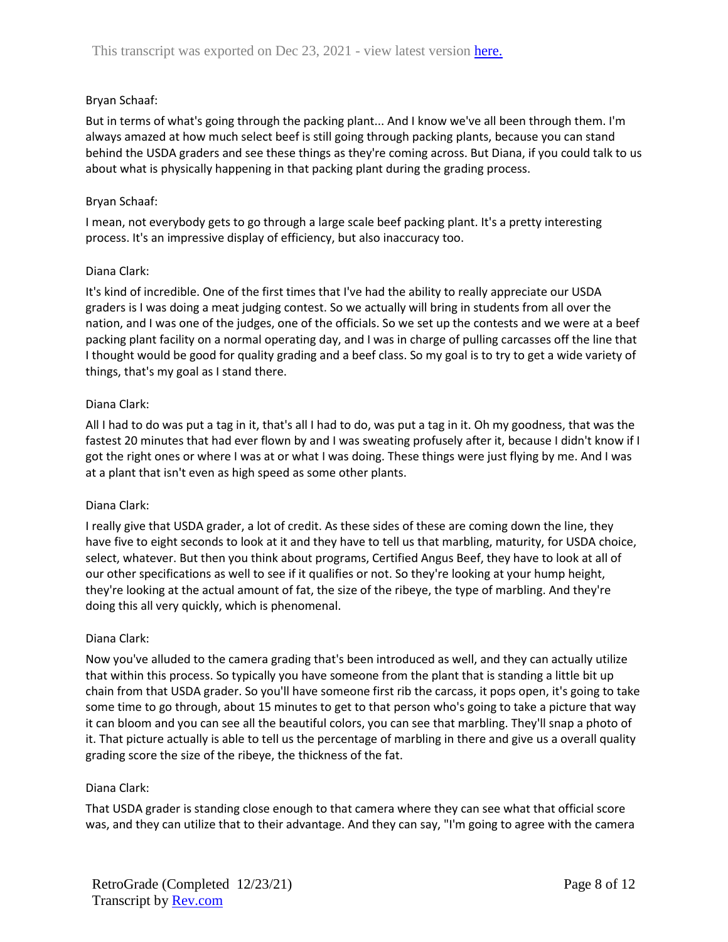But in terms of what's going through the packing plant... And I know we've all been through them. I'm always amazed at how much select beef is still going through packing plants, because you can stand behind the USDA graders and see these things as they're coming across. But Diana, if you could talk to us about what is physically happening in that packing plant during the grading process.

### Bryan Schaaf:

I mean, not everybody gets to go through a large scale beef packing plant. It's a pretty interesting process. It's an impressive display of efficiency, but also inaccuracy too.

### Diana Clark:

It's kind of incredible. One of the first times that I've had the ability to really appreciate our USDA graders is I was doing a meat judging contest. So we actually will bring in students from all over the nation, and I was one of the judges, one of the officials. So we set up the contests and we were at a beef packing plant facility on a normal operating day, and I was in charge of pulling carcasses off the line that I thought would be good for quality grading and a beef class. So my goal is to try to get a wide variety of things, that's my goal as I stand there.

### Diana Clark:

All I had to do was put a tag in it, that's all I had to do, was put a tag in it. Oh my goodness, that was the fastest 20 minutes that had ever flown by and I was sweating profusely after it, because I didn't know if I got the right ones or where I was at or what I was doing. These things were just flying by me. And I was at a plant that isn't even as high speed as some other plants.

### Diana Clark:

I really give that USDA grader, a lot of credit. As these sides of these are coming down the line, they have five to eight seconds to look at it and they have to tell us that marbling, maturity, for USDA choice, select, whatever. But then you think about programs, Certified Angus Beef, they have to look at all of our other specifications as well to see if it qualifies or not. So they're looking at your hump height, they're looking at the actual amount of fat, the size of the ribeye, the type of marbling. And they're doing this all very quickly, which is phenomenal.

### Diana Clark:

Now you've alluded to the camera grading that's been introduced as well, and they can actually utilize that within this process. So typically you have someone from the plant that is standing a little bit up chain from that USDA grader. So you'll have someone first rib the carcass, it pops open, it's going to take some time to go through, about 15 minutes to get to that person who's going to take a picture that way it can bloom and you can see all the beautiful colors, you can see that marbling. They'll snap a photo of it. That picture actually is able to tell us the percentage of marbling in there and give us a overall quality grading score the size of the ribeye, the thickness of the fat.

### Diana Clark:

That USDA grader is standing close enough to that camera where they can see what that official score was, and they can utilize that to their advantage. And they can say, "I'm going to agree with the camera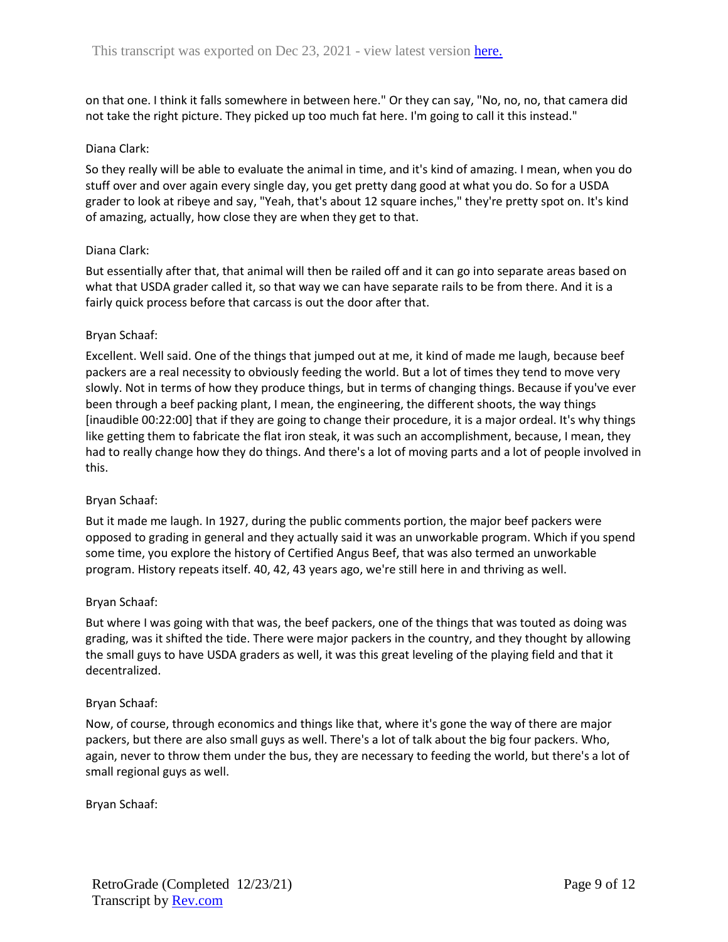on that one. I think it falls somewhere in between here." Or they can say, "No, no, no, that camera did not take the right picture. They picked up too much fat here. I'm going to call it this instead."

### Diana Clark:

So they really will be able to evaluate the animal in time, and it's kind of amazing. I mean, when you do stuff over and over again every single day, you get pretty dang good at what you do. So for a USDA grader to look at ribeye and say, "Yeah, that's about 12 square inches," they're pretty spot on. It's kind of amazing, actually, how close they are when they get to that.

#### Diana Clark:

But essentially after that, that animal will then be railed off and it can go into separate areas based on what that USDA grader called it, so that way we can have separate rails to be from there. And it is a fairly quick process before that carcass is out the door after that.

### Bryan Schaaf:

Excellent. Well said. One of the things that jumped out at me, it kind of made me laugh, because beef packers are a real necessity to obviously feeding the world. But a lot of times they tend to move very slowly. Not in terms of how they produce things, but in terms of changing things. Because if you've ever been through a beef packing plant, I mean, the engineering, the different shoots, the way things [inaudible 00:22:00] that if they are going to change their procedure, it is a major ordeal. It's why things like getting them to fabricate the flat iron steak, it was such an accomplishment, because, I mean, they had to really change how they do things. And there's a lot of moving parts and a lot of people involved in this.

### Bryan Schaaf:

But it made me laugh. In 1927, during the public comments portion, the major beef packers were opposed to grading in general and they actually said it was an unworkable program. Which if you spend some time, you explore the history of Certified Angus Beef, that was also termed an unworkable program. History repeats itself. 40, 42, 43 years ago, we're still here in and thriving as well.

### Bryan Schaaf:

But where I was going with that was, the beef packers, one of the things that was touted as doing was grading, was it shifted the tide. There were major packers in the country, and they thought by allowing the small guys to have USDA graders as well, it was this great leveling of the playing field and that it decentralized.

#### Bryan Schaaf:

Now, of course, through economics and things like that, where it's gone the way of there are major packers, but there are also small guys as well. There's a lot of talk about the big four packers. Who, again, never to throw them under the bus, they are necessary to feeding the world, but there's a lot of small regional guys as well.

Bryan Schaaf: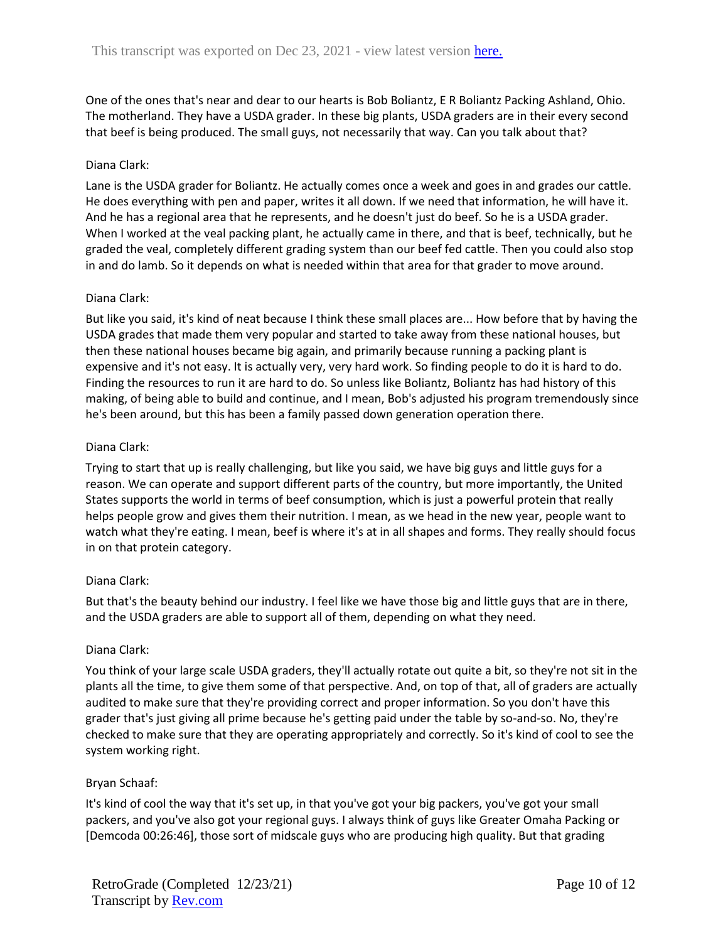One of the ones that's near and dear to our hearts is Bob Boliantz, E R Boliantz Packing Ashland, Ohio. The motherland. They have a USDA grader. In these big plants, USDA graders are in their every second that beef is being produced. The small guys, not necessarily that way. Can you talk about that?

### Diana Clark:

Lane is the USDA grader for Boliantz. He actually comes once a week and goes in and grades our cattle. He does everything with pen and paper, writes it all down. If we need that information, he will have it. And he has a regional area that he represents, and he doesn't just do beef. So he is a USDA grader. When I worked at the veal packing plant, he actually came in there, and that is beef, technically, but he graded the veal, completely different grading system than our beef fed cattle. Then you could also stop in and do lamb. So it depends on what is needed within that area for that grader to move around.

### Diana Clark:

But like you said, it's kind of neat because I think these small places are... How before that by having the USDA grades that made them very popular and started to take away from these national houses, but then these national houses became big again, and primarily because running a packing plant is expensive and it's not easy. It is actually very, very hard work. So finding people to do it is hard to do. Finding the resources to run it are hard to do. So unless like Boliantz, Boliantz has had history of this making, of being able to build and continue, and I mean, Bob's adjusted his program tremendously since he's been around, but this has been a family passed down generation operation there.

### Diana Clark:

Trying to start that up is really challenging, but like you said, we have big guys and little guys for a reason. We can operate and support different parts of the country, but more importantly, the United States supports the world in terms of beef consumption, which is just a powerful protein that really helps people grow and gives them their nutrition. I mean, as we head in the new year, people want to watch what they're eating. I mean, beef is where it's at in all shapes and forms. They really should focus in on that protein category.

### Diana Clark:

But that's the beauty behind our industry. I feel like we have those big and little guys that are in there, and the USDA graders are able to support all of them, depending on what they need.

### Diana Clark:

You think of your large scale USDA graders, they'll actually rotate out quite a bit, so they're not sit in the plants all the time, to give them some of that perspective. And, on top of that, all of graders are actually audited to make sure that they're providing correct and proper information. So you don't have this grader that's just giving all prime because he's getting paid under the table by so-and-so. No, they're checked to make sure that they are operating appropriately and correctly. So it's kind of cool to see the system working right.

### Bryan Schaaf:

It's kind of cool the way that it's set up, in that you've got your big packers, you've got your small packers, and you've also got your regional guys. I always think of guys like Greater Omaha Packing or [Demcoda 00:26:46], those sort of midscale guys who are producing high quality. But that grading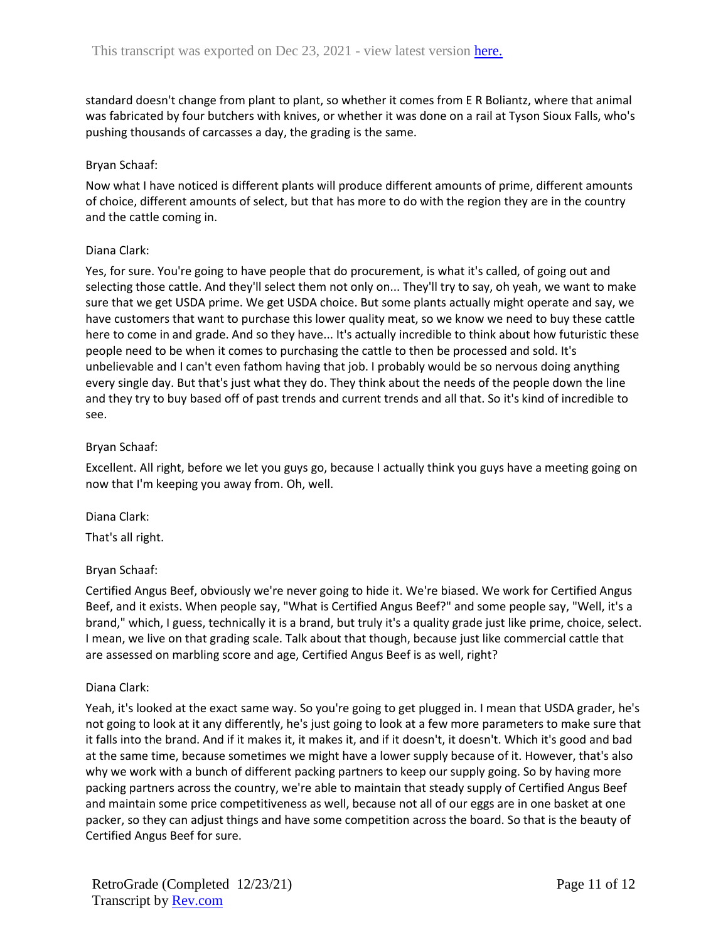standard doesn't change from plant to plant, so whether it comes from E R Boliantz, where that animal was fabricated by four butchers with knives, or whether it was done on a rail at Tyson Sioux Falls, who's pushing thousands of carcasses a day, the grading is the same.

### Bryan Schaaf:

Now what I have noticed is different plants will produce different amounts of prime, different amounts of choice, different amounts of select, but that has more to do with the region they are in the country and the cattle coming in.

### Diana Clark:

Yes, for sure. You're going to have people that do procurement, is what it's called, of going out and selecting those cattle. And they'll select them not only on... They'll try to say, oh yeah, we want to make sure that we get USDA prime. We get USDA choice. But some plants actually might operate and say, we have customers that want to purchase this lower quality meat, so we know we need to buy these cattle here to come in and grade. And so they have... It's actually incredible to think about how futuristic these people need to be when it comes to purchasing the cattle to then be processed and sold. It's unbelievable and I can't even fathom having that job. I probably would be so nervous doing anything every single day. But that's just what they do. They think about the needs of the people down the line and they try to buy based off of past trends and current trends and all that. So it's kind of incredible to see.

# Bryan Schaaf:

Excellent. All right, before we let you guys go, because I actually think you guys have a meeting going on now that I'm keeping you away from. Oh, well.

Diana Clark: That's all right.

# Bryan Schaaf:

Certified Angus Beef, obviously we're never going to hide it. We're biased. We work for Certified Angus Beef, and it exists. When people say, "What is Certified Angus Beef?" and some people say, "Well, it's a brand," which, I guess, technically it is a brand, but truly it's a quality grade just like prime, choice, select. I mean, we live on that grading scale. Talk about that though, because just like commercial cattle that are assessed on marbling score and age, Certified Angus Beef is as well, right?

# Diana Clark:

Yeah, it's looked at the exact same way. So you're going to get plugged in. I mean that USDA grader, he's not going to look at it any differently, he's just going to look at a few more parameters to make sure that it falls into the brand. And if it makes it, it makes it, and if it doesn't, it doesn't. Which it's good and bad at the same time, because sometimes we might have a lower supply because of it. However, that's also why we work with a bunch of different packing partners to keep our supply going. So by having more packing partners across the country, we're able to maintain that steady supply of Certified Angus Beef and maintain some price competitiveness as well, because not all of our eggs are in one basket at one packer, so they can adjust things and have some competition across the board. So that is the beauty of Certified Angus Beef for sure.